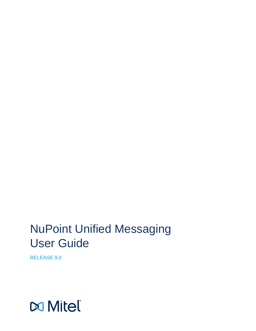# NuPoint Unified Messaging User Guide

RELEASE 9.0

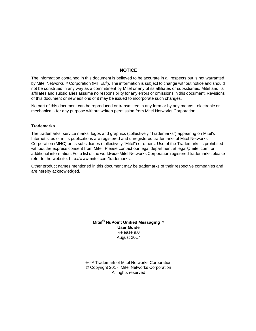### **NOTICE**

The information contained in this document is believed to be accurate in all respects but is not warranted by Mitel Networks™ Corporation (MITEL®). The information is subject to change without notice and should not be construed in any way as a commitment by Mitel or any of its affiliates or subsidiaries. Mitel and its affiliates and subsidiaries assume no responsibility for any errors or omissions in this document. Revisions of this document or new editions of it may be issued to incorporate such changes.

No part of this document can be reproduced or transmitted in any form or by any means - electronic or mechanical - for any purpose without written permission from Mitel Networks Corporation.

#### **Trademarks**

The trademarks, service marks, logos and graphics (collectively "Trademarks") appearing on Mitel's Internet sites or in its publications are registered and unregistered trademarks of Mitel Networks Corporation (MNC) or its subsidiaries (collectively "Mitel") or others. Use of the Trademarks is prohibited without the express consent from Mitel. Please contact our legal department at legal@mitel.com for additional information. For a list of the worldwide Mitel Networks Corporation registered trademarks, please refer to the website: http://www.mitel.com/trademarks.

Other product names mentioned in this document may be trademarks of their respective companies and are hereby acknowledged.

> **Mitel® NuPoint Unified Messaging**™ **User Guide** Release 9.0 August 2017

®,<sup>™</sup> Trademark of Mitel Networks Corporation © Copyright 2017, Mitel Networks Corporation All rights reserved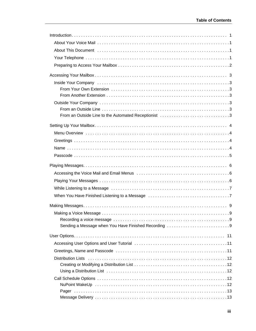| From an Outside Line to the Automated Receptionist 3 |  |
|------------------------------------------------------|--|
|                                                      |  |
|                                                      |  |
|                                                      |  |
|                                                      |  |
|                                                      |  |
|                                                      |  |
|                                                      |  |
|                                                      |  |
|                                                      |  |
|                                                      |  |
|                                                      |  |
|                                                      |  |
|                                                      |  |
|                                                      |  |
|                                                      |  |
|                                                      |  |
|                                                      |  |
|                                                      |  |
|                                                      |  |
|                                                      |  |
|                                                      |  |
|                                                      |  |
|                                                      |  |
|                                                      |  |
|                                                      |  |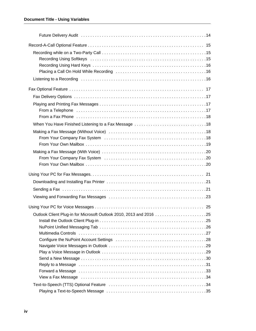| Recording Using Softkeys et al., and the contract of the contract of the Recording Using Softkeys et al., and the contract of the Recording Using Softkeys |  |
|------------------------------------------------------------------------------------------------------------------------------------------------------------|--|
|                                                                                                                                                            |  |
|                                                                                                                                                            |  |
| From a Telephone (and according to the control of the control of the control of the Termin and Telephone (3.7                                              |  |
|                                                                                                                                                            |  |
|                                                                                                                                                            |  |
|                                                                                                                                                            |  |
|                                                                                                                                                            |  |
|                                                                                                                                                            |  |
|                                                                                                                                                            |  |
|                                                                                                                                                            |  |
|                                                                                                                                                            |  |
|                                                                                                                                                            |  |
|                                                                                                                                                            |  |
|                                                                                                                                                            |  |
|                                                                                                                                                            |  |
|                                                                                                                                                            |  |
|                                                                                                                                                            |  |
|                                                                                                                                                            |  |
|                                                                                                                                                            |  |
| Reply to a Message entertainment contains and a state of the contract of the state of the state of the state o                                             |  |
| Forward a Message educational contracts and a series of the series of the series of the series of the series o                                             |  |
| View a Fax Message (and accommodation of the contract of the contract of the contract of the contract of the c                                             |  |
|                                                                                                                                                            |  |
|                                                                                                                                                            |  |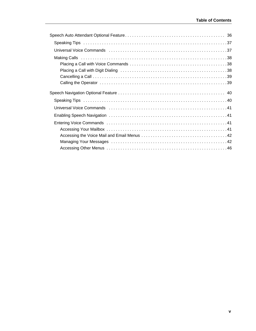| Universal Voice Commands (and all contracts of the contracts of the contracts of the contracts of the contract |
|----------------------------------------------------------------------------------------------------------------|
|                                                                                                                |
|                                                                                                                |
|                                                                                                                |
|                                                                                                                |
|                                                                                                                |
|                                                                                                                |
| Universal Voice Commands (and all contained a state of the community of the Universal Voice Commands (and a st |
|                                                                                                                |
|                                                                                                                |
|                                                                                                                |
|                                                                                                                |
|                                                                                                                |
|                                                                                                                |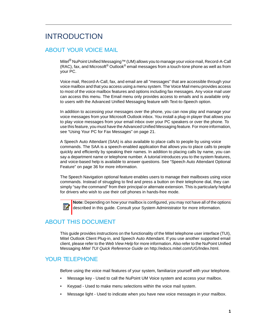## <span id="page-6-0"></span>INTRODUCTION

### <span id="page-6-1"></span>ABOUT YOUR VOICE MAIL

Mitel® NuPoint Unified Messaging™ (UM) allows you to manage your voice mail, Record-A-Call (RAC), fax, and Microsoft<sup>®</sup> Outlook<sup>®</sup> email messages from a touch-tone phone as well as from your PC.

Voice mail, Record-A-Call, fax, and email are all "messages" that are accessible through your voice mailbox and that you access using a menu system. The Voice Mail menu provides access to most of the voice mailbox features and options including fax messages. Any voice mail user can access this menu. The Email menu only provides access to emails and is available only to users with the Advanced Unified Messaging feature with Text-to-Speech option.

In addition to accessing your messages over the phone, you can now play and manage your voice messages from your Microsoft Outlook inbox. You install a plug-in player that allows you to play voice messages from your email inbox over your PC speakers or over the phone. To use this feature, you must have the Advanced Unified Messaging feature. For more information, see ["Using Your PC for Fax Messages" on page 21.](#page-26-0)

A Speech Auto Attendant (SAA) is also available to place calls to people by using voice commands. The SAA is a speech-enabled application that allows you to place calls to people quickly and efficiently by speaking their names. In addition to placing calls by name, you can say a department name or telephone number. A tutorial introduces you to the system features, and voice-based help is available to answer questions. See ["Speech Auto Attendant Optional](#page-41-0)  [Feature" on page 36](#page-41-0) for more information.

The Speech Navigation optional feature enables users to manage their mailboxes using voice commands. Instead of struggling to find and press a button on their telephone dial, they can simply "say the command" from their principal or alternate extension. This is particularly helpful for drivers who wish to use their cell phones in hands-free mode.



**Note:** Depending on how your mailbox is configured, you may not have all of the options described in this guide. Consult your System Administrator for more information.

## <span id="page-6-2"></span>ABOUT THIS DOCUMENT

This guide provides instructions on the functionality of the Mitel telephone user interface (TUI), Mitel Outlook Client Plug-in, and Speech Auto Attendant. If you use another supported email client, please refer to the *Web View Help* for more information. Also refer to the NuPoint Unified Messaging *Mitel TUI Quick Reference Guide* on http://edocs.mitel.com/UG/Index.html.

## <span id="page-6-3"></span>YOUR TELEPHONE

Before using the voice mail features of your system, familiarize yourself with your telephone.

- Message key Used to call the NuPoint UM Voice system and access your mailbox.
- Keypad Used to make menu selections within the voice mail system.
- Message light Used to indicate when you have new voice messages in your mailbox.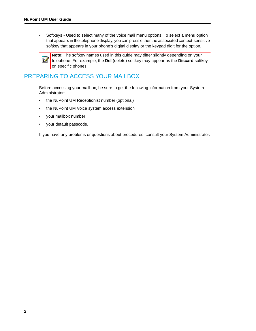• Softkeys - Used to select many of the voice mail menu options. To select a menu option that appears in the telephone display, you can press either the associated context-sensitive softkey that appears in your phone's digital display or the keypad digit for the option.



**Note:** The softkey names used in this guide may differ slightly depending on your telephone. For example, the **Del** (delete) softkey may appear as the **Discard** softkey, on specific phones.

## <span id="page-7-0"></span>PREPARING TO ACCESS YOUR MAILBOX

Before accessing your mailbox, be sure to get the following information from your System Administrator:

- the NuPoint UM Receptionist number (optional)
- the NuPoint UM Voice system access extension
- your mailbox number
- your default passcode.

If you have any problems or questions about procedures, consult your System Administrator.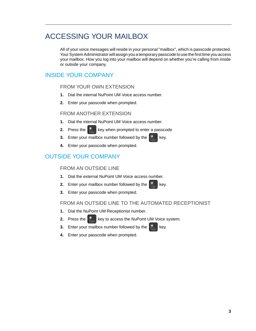## <span id="page-8-0"></span>ACCESSING YOUR MAILBOX

All of your voice messages will reside in your personal "mailbox", which is passcode protected. Your System Administrator will assign you a temporary passcode to use the first time you access your mailbox. How you log into your mailbox will depend on whether you're calling from inside or outside your company.

## <span id="page-8-2"></span><span id="page-8-1"></span>INSIDE YOUR COMPANY

### FROM YOUR OWN EXTENSION

- **1.** Dial the internal NuPoint UM Voice access number.
- **2.** Enter your passcode when prompted.

### <span id="page-8-3"></span>FROM ANOTHER EXTENSION

- **1.** Dial the internal NuPoint UM Voice access number.
- **2.** Press the  $\mathbb{R}$  key when prompted to enter a passcode
- **3.** Enter your mailbox number followed by the  $\mathbb{R}^*$  key.
- **4.** Enter your passcode when prompted.

## <span id="page-8-5"></span><span id="page-8-4"></span>OUTSIDE YOUR COMPANY

### FROM AN OUTSIDE LINE

- **1.** Dial the external NuPoint UM Voice access number.
- **2.** Enter your mailbox number followed by the  $\mathbb{X}$  key.
- **3.** Enter your passcode when prompted.

### <span id="page-8-6"></span>FROM AN OUTSIDE LINE TO THE AUTOMATED RECEPTIONIST

- **1.** Dial the NuPoint UM Receptionist number.
- **2.** Press the  $\mathbb{R}^*$  key to access the NuPoint UM Voice system.
- **3.** Enter your mailbox number followed by the  $\mathbb{R}^*$  key.
- **4.** Enter your passcode when prompted.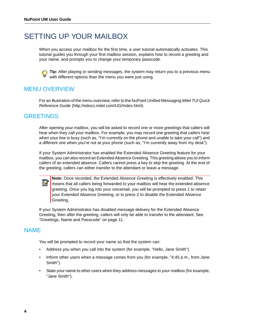## <span id="page-9-0"></span>SETTING UP YOUR MAILBOX

When you access your mailbox for the first time, a user tutorial automatically activates. This tutorial guides you through your first mailbox session, explains how to record a greeting and your name, and prompts you to change your temporary passcode.



**Tip:** After playing or sending messages, the system may return you to a previous menu with different options than the menu you were just using.

## <span id="page-9-1"></span>MENU OVERVIEW

For an illustration of the menu overview, refer to the NuPoint Unified Messaging *Mitel TUI Quick Reference Guide* (http://edocs.mitel.com/UG/Index.html).

### <span id="page-9-2"></span>**GREETINGS**

Ď

After opening your mailbox, you will be asked to record one or more greetings that callers will hear when they call your mailbox. For example, you may record one greeting that callers hear when your line is busy (such as, "I'm currently on the phone and unable to take your call") and a different one when you're not at your phone (such as, "I'm currently away from my desk").

If your System Administrator has enabled the Extended Absence Greeting feature for your mailbox, you can also record an Extended Absence Greeting. This greeting allows you to inform callers of an extended absence. Callers cannot press a key to skip the greeting. At the end of the greeting, callers can either transfer to the attendant or leave a message.

**Note:** Once recorded, the Extended Absence Greeting is effectively enabled. This means that all callers being forwarded to your mailbox will hear the extended absence greeting. Once you log into your voicemail, you will be prompted to press 1 to retain your Extended Absence Greeting, or to press 2 to disable the Extended Absence Greeting.

If your System Administrator has disabled message delivery for the Extended Absence Greeting, then after the greeting, callers will only be able to transfer to the attendant. See ["Greetings, Name and Passcode" on page 11.](#page-16-2)

### <span id="page-9-3"></span>NAME

You will be prompted to record your name so that the system can:

- Address you when you call into the system (for example, "Hello, Jane Smith").
- Inform other users when a message comes from you (for example, "4:45 p.m., from Jane Smith").
- State your name to other users when they address messages to your mailbox (for example, "Jane Smith").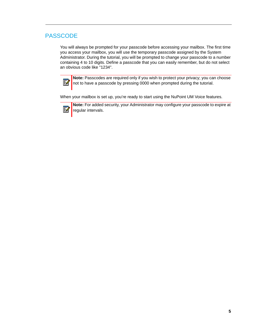## <span id="page-10-0"></span>PASSCODE

You will always be prompted for your passcode before accessing your mailbox. The first time you access your mailbox, you will use the temporary passcode assigned by the System Administrator. During the tutorial, you will be prompted to change your passcode to a number containing 4 to 10 digits. Define a passcode that you can easily remember, but do not select an obvious code like "1234".



**Note:** Passcodes are required only if you wish to protect your privacy; you can choose not to have a passcode by pressing 0000 when prompted during the tutorial.

When your mailbox is set up, you're ready to start using the NuPoint UM Voice features.

М

**Note:** For added security, your Administrator may configure your passcode to expire at regular intervals.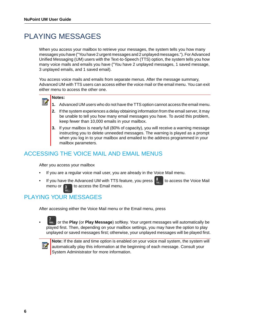## <span id="page-11-0"></span>PLAYING MESSAGES

When you access your mailbox to retrieve your messages, the system tells you how many messages you have ("You have 2 urgent messages and 2 unplayed messages."). For Advanced Unified Messaging (UM) users with the Text-to-Speech (TTS) option, the system tells you how many voice mails and emails you have ("You have 2 unplayed messages, 1 saved message, 3 unplayed emails, and 1 saved email).

You access voice mails and emails from separate menus. After the message summary, Advanced UM with TTS users can access either the voice mail or the email menu. You can exit either menu to access the other one.

#### **Notes:**  Ы

- **1.** Advanced UM users who do not have the TTS option cannot access the email menu.
- **2.** If the system experiences a delay obtaining information from the email server, it may be unable to tell you how many email messages you have. To avoid this problem, keep fewer than 10,000 emails in your mailbox.
- **3.** If your mailbox is nearly full (80% of capacity), you will receive a warning message instructing you to delete unneeded messages. The warning is played as a prompt when you log in to your mailbox and emailed to the address programmed in your mailbox parameters.

## <span id="page-11-1"></span>ACCESSING THE VOICE MAIL AND EMAIL MENUS

After you access your mailbox

- If you are a regular voice mail user, you are already in the Voice Mail menu.
- If you have the Advanced UM with TTS feature, you press  $\|\cdot\|$  to access the Voice Mail menu or  $\left| \mathbf{s} \right|$  to access the Email menu.

## <span id="page-11-2"></span>PLAYING YOUR MESSAGES

After accessing either the Voice Mail menu or the Email menu, press

• or the **Play** (or **Play Message**) softkey. Your urgent messages will automatically be played first. Then, depending on your mailbox settings, you may have the option to play unplayed or saved messages first; otherwise, your unplayed messages will be played first.



**Note:** If the date and time option is enabled on your voice mail system, the system will automatically play this information at the beginning of each message. Consult your System Administrator for more information.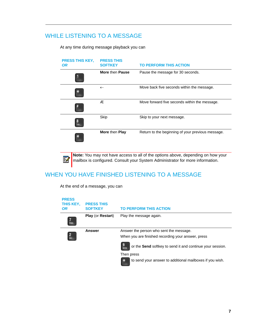## <span id="page-12-0"></span>WHILE LISTENING TO A MESSAGE

At any time during message playback you can

| <b>PRESS THIS KEY,</b><br><b>OR</b> | <b>PRESS THIS</b><br><b>SOFTKEY</b> | <b>TO PERFORM THIS ACTION</b>                     |
|-------------------------------------|-------------------------------------|---------------------------------------------------|
|                                     | More then Pause                     | Pause the message for 30 seconds.                 |
|                                     | $\leftarrow$                        | Move back five seconds within the message.        |
|                                     | Æ                                   | Move forward five seconds within the message.     |
|                                     | Skip                                | Skip to your next message.                        |
|                                     | More then Play                      | Return to the beginning of your previous message. |

**Note:** You may not have access to all of the options above, depending on how your mailbox is configured. Consult your System Administrator for more information.

## <span id="page-12-1"></span>WHEN YOU HAVE FINISHED LISTENING TO A MESSAGE

At the end of a message, you can

Ë

| <b>PRESS</b><br>THIS KEY,<br>OR | <b>PRESS THIS</b><br><b>SOFTKEY</b> | <b>TO PERFORM THIS ACTION</b>                                                                                                                                                                                                                       |
|---------------------------------|-------------------------------------|-----------------------------------------------------------------------------------------------------------------------------------------------------------------------------------------------------------------------------------------------------|
| <b>PORS</b>                     | <b>Play (or Restart)</b>            | Play the message again.                                                                                                                                                                                                                             |
| <b>ABC</b>                      | <b>Answer</b>                       | Answer the person who sent the message.<br>When you are finished recording your answer, press<br>or the Send softkey to send it and continue your session.<br><b>WXYZ</b><br>Then press<br>to send your answer to additional mailboxes if you wish. |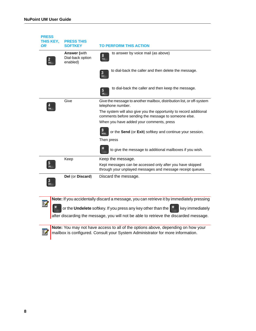M

Z

| <b>PRESS</b><br>THIS KEY, | <b>PRESS THIS</b>                                   |                                                                                                                            |
|---------------------------|-----------------------------------------------------|----------------------------------------------------------------------------------------------------------------------------|
| <b>OR</b>                 | <b>SOFTKEY</b>                                      | <b>TO PERFORM THIS ACTION</b>                                                                                              |
|                           | <b>Answer</b> (with<br>Dial-back option<br>enabled) | to answer by voice mail (as above)<br>8<br><b>TUV</b>                                                                      |
|                           |                                                     | to dial-back the caller and then delete the message.<br>$\mathbf{3}$<br>DEF                                                |
|                           |                                                     | to dial-back the caller and then keep the message.<br>5<br><b>JKL</b>                                                      |
|                           | Give                                                | Give the message to another mailbox, distribution list, or off-system<br>telephone number.                                 |
|                           |                                                     | The system will also give you the opportunity to record additional<br>comments before sending the message to someone else. |
|                           |                                                     | When you have added your comments, press                                                                                   |
|                           |                                                     | or the Send (or Exit) softkey and continue your session.<br><b>WXYZ</b>                                                    |
|                           |                                                     | Then press                                                                                                                 |
|                           |                                                     | to give the message to additional mailboxes if you wish.                                                                   |
|                           | Keep                                                | Keep the message.                                                                                                          |
| 5                         |                                                     | Kept messages can be accessed only after you have skipped<br>through your unplayed messages and message receipt queues.    |
| 3<br><b>DEF</b>           | Del (or Discard)                                    | Discard the message.                                                                                                       |
|                           |                                                     | <b>Note:</b> If you accidentally discard a message, you can retrieve it by immediately pressing                            |
| anna.                     |                                                     |                                                                                                                            |

or the **Undelete** softkey. If you press any key other than the  $\begin{bmatrix} * & * \end{bmatrix}$  key immediately

after discarding the message, you will not be able to retrieve the discarded message.

**Note:** You may not have access to all of the options above, depending on how your mailbox is configured. Consult your System Administrator for more information.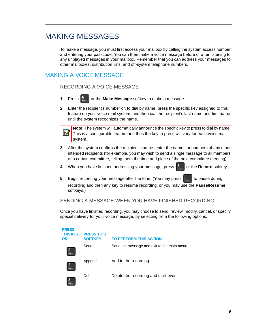## <span id="page-14-0"></span>MAKING MESSAGES

To make a message, you must first access your mailbox by calling the system access number and entering your passcode. You can then make a voice message before or after listening to any unplayed messages in your mailbox. Remember that you can address your messages to other mailboxes, distribution lists, and off-system telephone numbers.

## <span id="page-14-2"></span><span id="page-14-1"></span>MAKING A VOICE MESSAGE

### RECORDING A VOICE MESSAGE

- **1.** Press **or the Make Message** softkey to make a message.
- **2.** Enter the recipient's number or, to dial by name, press the specific key assigned to this feature on your voice mail system, and then dial the recipient's last name and first name until the system recognizes the name.



**Note:** The system will automatically announce the specific key to press to dial by name. This is a configurable feature and thus the key to press will vary for each voice mail system.

- **3.** After the system confirms the recipient's name, enter the names or numbers of any other intended recipients (for example, you may wish to send a single message to all members of a certain committee, telling them the time and place of the next committee meeting).
- **4.** When you have finished addressing your message, press **<sup>#</sup>** or the **Record** softkey.
- **5.** Begin recording your message after the tone. (You may press **that** to pause during recording and then any key to resume recording, or you may use the **Pause/Resume** softkeys.)

### <span id="page-14-3"></span>SENDING A MESSAGE WHEN YOU HAVE FINISHED RECORDING

Once you have finished recording, you may choose to send, review, modify, cancel, or specify special delivery for your voice message, by selecting from the following options:

| <b>PRESS</b><br>THIS KEY,<br><b>OR</b> | <b>PRESS THIS</b><br><b>SOFTKEY</b> | <b>TO PERFORM THIS ACTION</b>               |
|----------------------------------------|-------------------------------------|---------------------------------------------|
| g<br><b>WXYZ</b>                       | Send                                | Send the message and exit to the main menu. |
| $\mathbf{2}$<br>ABC                    | Append                              | Add to the recording.                       |
| 3<br><b>DEF</b>                        | Del                                 | Delete the recording and start over.        |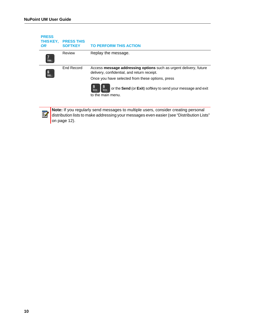| <b>PRESS</b><br>THIS KEY,<br><b>OR</b> | <b>PRESS THIS</b><br><b>SOFTKEY</b> | <b>TO PERFORM THIS ACTION</b>                                                                                                                                                   |
|----------------------------------------|-------------------------------------|---------------------------------------------------------------------------------------------------------------------------------------------------------------------------------|
| <b>PORS</b>                            | Review                              | Replay the message.                                                                                                                                                             |
| <b>MNO</b>                             | End Record                          | Access message addressing options such as urgent delivery, future<br>delivery, confidential, and return receipt.                                                                |
|                                        |                                     | Once you have selected from these options, press                                                                                                                                |
|                                        |                                     | or the Send (or Exit) softkey to send your message and exit<br><b>WXYZ</b>                                                                                                      |
|                                        |                                     | to the main menu.                                                                                                                                                               |
|                                        |                                     |                                                                                                                                                                                 |
|                                        |                                     | Note: If you regularly send messages to multiple users, consider creating personal<br>distribution lists to make addressing your messages even easier (see "Distribution Lists" |

[on page 12](#page-17-0)).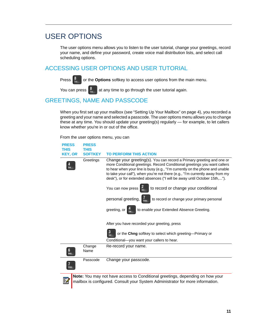## <span id="page-16-0"></span>USER OPTIONS

The user options menu allows you to listen to the user tutorial, change your greetings, record your name, and define your password, create voice mail distribution lists, and select call scheduling options.

### <span id="page-16-1"></span>ACCESSING USER OPTIONS AND USER TUTORIAL

Press  $\begin{bmatrix} 8 \\ w \end{bmatrix}$  or the **Options** softkey to access user options from the main menu.

You can press  $\begin{bmatrix} 8 \\ w \end{bmatrix}$  at any time to go through the user tutorial again.

T ||

## <span id="page-16-2"></span>GREETINGS, NAME AND PASSCODE

When you first set up your mailbox (see ["Setting Up Your Mailbox" on page 4\)](#page-9-0), you recorded a greeting and your name and selected a passcode. The user options menu allows you to change these at any time. You should update your greeting(s) regularly — for example, to let callers know whether you're in or out of the office.

From the user options menu, you can

| <b>PRESS</b>   | <b>PRESS</b>   |                                                                                                                                                                                                                                                                                                                                                                                                 |
|----------------|----------------|-------------------------------------------------------------------------------------------------------------------------------------------------------------------------------------------------------------------------------------------------------------------------------------------------------------------------------------------------------------------------------------------------|
| <b>THIS</b>    | <b>THIS</b>    |                                                                                                                                                                                                                                                                                                                                                                                                 |
| <b>KEY, OR</b> | <b>SOFTKEY</b> | <b>TO PERFORM THIS ACTION</b>                                                                                                                                                                                                                                                                                                                                                                   |
|                | Greetings      | Change your greeting(s). You can record a Primary greeting and one or<br>more Conditional greetings. Record Conditional greetings you want callers<br>to hear when your line is busy (e.g., "I'm currently on the phone and unable<br>to take your call"), when you're not there (e.g., "I'm currently away from my<br>desk"), or for extended absences ("I will be away until October 15th,"). |
|                |                | to record or change your conditional<br>You can now press                                                                                                                                                                                                                                                                                                                                       |
|                |                | personal greeting,<br>to record or change your primary personal                                                                                                                                                                                                                                                                                                                                 |
|                |                | to enable your Extended Absence Greeting.<br>greeting, or                                                                                                                                                                                                                                                                                                                                       |
|                |                | After you have recorded your greeting, press                                                                                                                                                                                                                                                                                                                                                    |
|                |                | 3<br>or the Chng softkey to select which greeting-Primary or<br>DEE                                                                                                                                                                                                                                                                                                                             |
|                |                | Conditional-you want your callers to hear.                                                                                                                                                                                                                                                                                                                                                      |
| <b>MNO</b>     | Change<br>Name | Re-record your name.                                                                                                                                                                                                                                                                                                                                                                            |
|                | Passcode       | Change your passcode.                                                                                                                                                                                                                                                                                                                                                                           |
|                |                | Note: You may not have access to Conditional greetings, depending on how your<br>mailbox is configured. Consult your System Administrator for more information.                                                                                                                                                                                                                                 |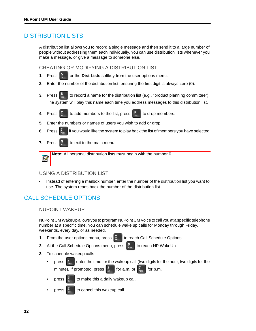### <span id="page-17-0"></span>DISTRIBUTION LISTS

A distribution list allows you to record a single message and then send it to a large number of people without addressing them each individually. You can use distribution lists whenever you make a message, or give a message to someone else.

<span id="page-17-1"></span>CREATING OR MODIFYING A DISTRIBUTION LIST

- **1.** Press **b** or the **Dist Lists** softkey from the user options menu.
- **2.** Enter the number of the distribution list, ensuring the first digit is always zero (0).
- **3.** Press  $\begin{bmatrix} 6 \\ 1 \end{bmatrix}$  to record a name for the distribution list (e.g., "product planning committee"). The system will play this name each time you address messages to this distribution list.
- **4.** Press  $\begin{bmatrix} 2 \\ 4 \end{bmatrix}$  to add members to the list; press  $\begin{bmatrix} 3 \\ 3 \end{bmatrix}$  to drop members.
- **5.** Enter the numbers or names of users you wish to add or drop.
- **6.** Press  $\int_{\text{pass}}$  if you would like the system to play back the list of members you have selected.
- **7.** Press  $\begin{bmatrix} 9 \\ 40 \end{bmatrix}$  to exit to the main menu.

Б

**Note:** All personal distribution lists must begin with the number 0.

### <span id="page-17-2"></span>USING A DISTRIBUTION LIST

• Instead of entering a mailbox number, enter the number of the distribution list you want to use. The system reads back the number of the distribution list.

## <span id="page-17-4"></span><span id="page-17-3"></span>CALL SCHEDULE OPTIONS

NUPOINT WAKEUP

NuPoint UM WakeUp allows you to program NuPoint UM Voice to call you at a specific telephone number at a specific time. You can schedule wake up calls for Monday through Friday, weekends, every day, or as needed.

**1.** From the user options menu, press  $\begin{bmatrix} 2 \\ 4 \\ 4 \end{bmatrix}$  to reach Call Schedule Options.

- **2.** At the Call Schedule Options menu, press  $\frac{9}{3}$  to reach NP WakeUp.
- **3.** To schedule wakeup calls:
	- press  $\left| \cdot \right|_{\text{max}}$  enter the time for the wakeup call (two digits for the hour, two digits for the minute). If prompted, press  $\frac{2}{\pi}$  for a.m. or  $\frac{7}{\pi}$  for p.m.
	- press  $\frac{3}{100}$  to make this a daily wakeup call.
	- press  $\frac{z}{\sqrt{2}}$  to cancel this wakeup call.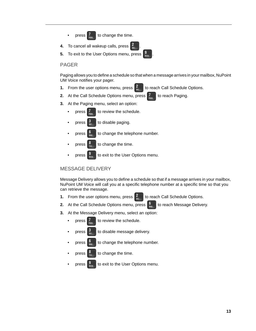- press  $\mathcal{I}$  to change the time.
- **4.** To cancel all wakeup calls, press .
- **5.** To exit to the User Options menu, press

### <span id="page-18-0"></span>PAGER

Paging allows you to define a schedule so that when a message arrives in your mailbox, NuPoint UM Voice notifies your pager.

- **1.** From the user options menu, press  $\begin{bmatrix} 2 \\ \infty \end{bmatrix}$  to reach Call Schedule Options.
- **2.** At the Call Schedule Options menu, press **T** to reach Paging.
- **3.** At the Paging menu, select an option:
	- press  $\frac{7}{2}$  to review the schedule.
	- press  $\begin{bmatrix} 3 \\ \frac{6}{165} \end{bmatrix}$  to disable paging.
	- press  $\begin{bmatrix} 0 \\ w_{mn} \end{bmatrix}$  to change the telephone number.
	- press  $\begin{bmatrix} 8 \\ w \end{bmatrix}$  to change the time.
	- press  $\frac{9}{100}$  to exit to the User Options menu.

### <span id="page-18-1"></span>MESSAGE DELIVERY

Message Delivery allows you to define a schedule so that if a message arrives in your mailbox, NuPoint UM Voice will call you at a specific telephone number at a specific time so that you can retrieve the message.

- **1.** From the user options menu, press **f the reach Call Schedule Options.**
- **2.** At the Call Schedule Options menu, press **the case of Message Delivery.**
- **3.** At the Message Delivery menu, select an option:
	- press  $\frac{7}{2}$  to review the schedule.
	- press  $\frac{3}{10}$  to disable message delivery.
	- press  $\begin{bmatrix} 0 \\ \cdots \end{bmatrix}$  to change the telephone number.
	- press  $\frac{6}{10}$  to change the time.
	- press  $\frac{19}{100}$  to exit to the User Options menu.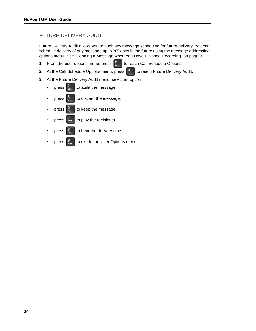### <span id="page-19-0"></span>FUTURE DELIVERY AUDIT

Future Delivery Audit allows you to audit any message scheduled for future delivery. You can schedule delivery of any message up to 365 days in the future using the message addressing options menu. See ["Sending a Message when You Have Finished Recording" on page 9](#page-14-3).

- **1.** From the user options menu, press  $\begin{bmatrix} 2 \\ \infty \end{bmatrix}$  to reach Call Schedule Options.
- **2.** At the Call Schedule Options menu, press  $\begin{bmatrix} 3 \\ 9 \end{bmatrix}$  to reach Future Delivery Audit.
- **3.** At the Future Delivery Audit menu, select an option
	- press  $\frac{2}{\pi}$  to audit the message.
	- press  $\begin{bmatrix} 3 \\ \frac{1}{n+1} \end{bmatrix}$  to discard the message.
	- press  $\begin{bmatrix} 5 \\ \mathbb{R} \end{bmatrix}$  to keep the message.
	- press  $\begin{bmatrix} I_{\text{rems}} \\ \text{rems} \end{bmatrix}$  to play the recipients.
	- press  $\frac{8}{10}$  to hear the delivery time.
	- press  $\frac{9}{200}$  to exit to the User Options menu.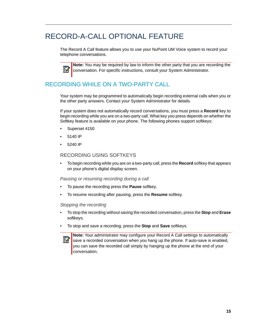## <span id="page-20-0"></span>RECORD-A-CALL OPTIONAL FEATURE

The Record A Call feature allows you to use your NuPoint UM Voice system to record your telephone conversations.

М

**Note:** You may be required by law to inform the other party that you are recording the conversation. For specific instructions, consult your System Administrator.

## <span id="page-20-1"></span>RECORDING WHILE ON A TWO-PARTY CALL

Your system may be programmed to automatically begin recording external calls when you or the other party answers. Contact your System Administrator for details.

If your system does not automatically record conversations, you must press a **Record** key to begin recording while you are on a two-party call. What key you press depends on whether the Softkey feature is available on your phone. The following phones support softkeys:

- Superset 4150
- 5140 IP
- 5240 IP

### <span id="page-20-2"></span>RECORDING USING SOFTKEYS

• To begin recording while you are on a two-party call, press the **Record** softkey that appears on your phone's digital display screen.

### *Pausing or resuming recording during a call*

- To pause the recording press the **Pause** softkey.
- To resume recording after pausing, press the **Resume** softkey.

### *Stopping the recording*

- To stop the recording without saving the recorded conversation, press the **Stop** and **Erase** softkeys.
- To stop and save a recording, press the **Stop** and **Save** softkeys.



**Note:** Your administrator may configure your Record A Call settings to automatically save a recorded conversation when you hang up the phone. If auto-save is enabled, you can save the recorded call simply by hanging up the phone at the end of your conversation.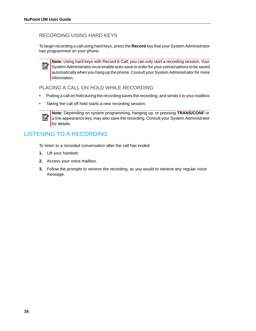### <span id="page-21-0"></span>RECORDING USING HARD KEYS

To begin recording a call using hard keys, press the **Record** key that your System Administrator has programmed on your phone.

**Note:** Using hard keys with Record A Call, you can only start a recording session. Your þ, System Administrator must enable auto-save in order for your conversations to be saved automatically when you hang up the phone. Consult your System Administrator for more information.

<span id="page-21-1"></span>PLACING A CALL ON HOLD WHILE RECORDING

- Putting a call on hold during the recording saves the recording, and sends it to your mailbox.
- Taking the call off hold starts a new recording session.



**Note:** Depending on system programming, hanging up, or pressing **TRANS/CONF** or a line appearance key, may also save the recording. Consult your System Administrator for details.

## <span id="page-21-2"></span>LISTENING TO A RECORDING

To listen to a recorded conversation after the call has ended

- **1.** Lift your handset.
- **2.** Access your voice mailbox.
- **3.** Follow the prompts to retrieve the recording, as you would to retrieve any regular voice message.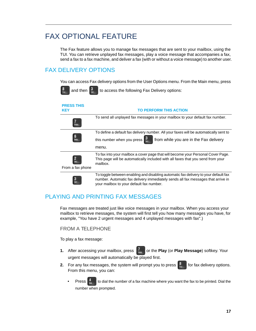## <span id="page-22-0"></span>FAX OPTIONAL FEATURE

The Fax feature allows you to manage fax messages that are sent to your mailbox, using the TUI. You can retrieve unplayed fax messages, play a voice message that accompanies a fax, send a fax to a fax machine, and deliver a fax (with or without a voice message) to another user.

## <span id="page-22-1"></span>FAX DELIVERY OPTIONS

You can access Fax delivery options from the User Options menu. From the Main menu, press

| and then                        | to access the following Fax Delivery options:                                                                                                                                                                       |
|---------------------------------|---------------------------------------------------------------------------------------------------------------------------------------------------------------------------------------------------------------------|
| <b>PRESS THIS</b><br><b>KEY</b> | <b>TO PERFORM THIS ACTION</b>                                                                                                                                                                                       |
|                                 | To send all unplayed fax messages in your mailbox to your default fax number.                                                                                                                                       |
|                                 | To define a default fax delivery number. All your faxes will be automatically sent to<br>from while you are in the Fax delivery<br>this number when you press<br>menu.                                              |
| From a fax phone                | To fax into your mailbox a cover page that will become your Personal Cover Page.<br>This page will be automatically included with all faxes that you send from your<br>mailbox.                                     |
|                                 | To toggle between enabling and disabling automatic fax delivery to your default fax<br>number. Automatic fax delivery immediately sends all fax messages that arrive in<br>your mailbox to your default fax number. |

## <span id="page-22-2"></span>PLAYING AND PRINTING FAX MESSAGES

Fax messages are treated just like voice messages in your mailbox. When you access your mailbox to retrieve messages, the system will first tell you how many messages you have, for example, "You have 2 urgent messages and 4 unplayed messages with fax".)

### <span id="page-22-3"></span>FROM A TELEPHONE

To play a fax message:

- **1.** After accessing your mailbox, press  $\begin{bmatrix} 7 \\ \text{pass} \end{bmatrix}$  or the **Play** (or **Play Message**) softkey. Your urgent messages will automatically be played first.
- **2.** For any fax messages, the system will prompt you to press  $\begin{bmatrix} 8 \\ w \end{bmatrix}$  for fax delivery options. From this menu, you can:
	- Press  $\left[\begin{array}{cc} 4 & \cdot \\ 6 & \cdot \end{array}\right]$  to dial the number of a fax machine where you want the fax to be printed. Dial the number when prompted.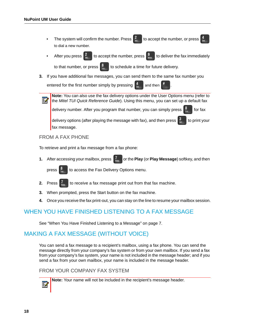- The system will confirm the number. Press  $\frac{2}{\pi}$  to accept the number, or press to dial a new number.
- After you press  $\frac{2}{3}$  to accept the number, press  $\frac{9}{3}$  to deliver the fax immediately



**3.** If you have additional fax messages, you can send them to the same fax number you

entered for the first number simply by pressing  $\begin{bmatrix} 4 \\ \frac{1}{2} \end{bmatrix}$  and then

**Note:** You can also use the fax delivery options under the User Options menu (refer to Г the *Mitel TUI Quick Reference Guide*). Using this menu, you can set up a default fax delivery number. After you program that number, you can simply press  $\frac{8}{3}$  for fax

delivery options (after playing the message with fax), and then press  $\frac{3}{10}$  to print your fax message.

### <span id="page-23-0"></span>FROM A FAX PHONE

To retrieve and print a fax message from a fax phone:

**1.** After accessing your mailbox, press  $\begin{bmatrix} I_{\text{max}} \\ \text{max} \end{bmatrix}$  or the **Play** (or **Play Message**) softkey, and then



press  $\frac{8}{10}$  to access the Fax Delivery Options menu.

- **2.** Press  $\left| \right|_{\infty}$  to receive a fax message print out from that fax machine.
- **3.** When prompted, press the Start button on the fax machine.
- **4.** Once you receive the fax print-out, you can stay on the line to resume your mailbox session.

## <span id="page-23-1"></span>WHEN YOU HAVE FINISHED LISTENING TO A FAX MESSAGE

See ["When You Have Finished Listening to a Message" on page 7.](#page-12-1)

## <span id="page-23-2"></span>MAKING A FAX MESSAGE (WITHOUT VOICE)

You can send a fax message to a recipient's mailbox, using a fax phone. You can send the message directly from your company's fax system or from your own mailbox. If you send a fax from your company's fax system, your name is not included in the message header; and if you send a fax from your own mailbox, your name is included in the message header.

### <span id="page-23-3"></span>FROM YOUR COMPANY FAX SYSTEM



**Note:** Your name will not be included in the recipient's message header.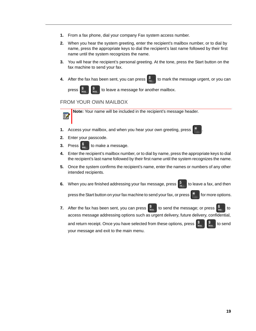- **1.** From a fax phone, dial your company Fax system access number.
- **2.** When you hear the system greeting, enter the recipient's mailbox number, or to dial by name, press the appropriate keys to dial the recipient's last name followed by their first name until the system recognizes the name.
- **3.** You will hear the recipient's personal greeting. At the tone, press the Start button on the fax machine to send your fax.
- **4.** After the fax has been sent, you can press  $\begin{bmatrix} 8 \\ \frac{1}{20} \end{bmatrix}$  to mark the message urgent, or you can



press  $\frac{9}{2}$   $\frac{9}{2}$  to leave a message for another mailbox.

### <span id="page-24-0"></span>FROM YOUR OWN MAILBOX

**Note:** Your name will be included in the recipient's message header.М

**1.** Access your mailbox, and when you hear your own greeting, press



- **2.** Enter your passcode.
- **3.** Press  $\begin{bmatrix} 0 \\ \dots \end{bmatrix}$  to make a message.
- **4.** Enter the recipient's mailbox number, or to dial by name, press the appropriate keys to dial the recipient's last name followed by their first name until the system recognizes the name.
- **5.** Once the system confirms the recipient's name, enter the names or numbers of any other intended recipients.
- **6.** When you are finished addressing your fax message, press  $\begin{bmatrix} 5 \\ 8 \end{bmatrix}$  to leave a fax, and then

press the Start button on your fax machine to send your fax, or press  $f^*$  for more options.

**7.** After the fax has been sent, you can press  $\begin{bmatrix} 9 \\ \text{two} \end{bmatrix}$  to send the message; or press  $\begin{bmatrix} 6 \\ \text{two} \end{bmatrix}$  to access message addressing options such as urgent delivery, future delivery, confidential, and return receipt. Once you have selected from these options, press  $\frac{9}{200}$   $\frac{9}{200}$  to send your message and exit to the main menu.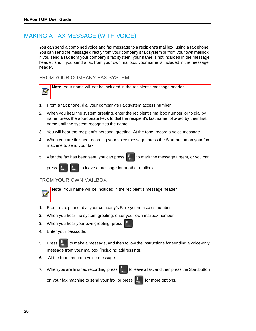Ы

## <span id="page-25-0"></span>MAKING A FAX MESSAGE (WITH VOICE)

You can send a combined voice and fax message to a recipient's mailbox, using a fax phone. You can send the message directly from your company's fax system or from your own mailbox. If you send a fax from your company's fax system, your name is not included in the message header; and if you send a fax from your own mailbox, your name is included in the message header.

### <span id="page-25-1"></span>FROM YOUR COMPANY FAX SYSTEM

**Note:** Your name will not be included in the recipient's message header.

- **1.** From a fax phone, dial your company's Fax system access number.
- **2.** When you hear the system greeting, enter the recipient's mailbox number, or to dial by name, press the appropriate keys to dial the recipient's last name followed by their first name until the system recognizes the name.
- **3.** You will hear the recipient's personal greeting. At the tone, record a voice message.
- **4.** When you are finished recording your voice message, press the Start button on your fax machine to send your fax.
- **5.** After the fax has been sent, you can press  $\begin{bmatrix} 8 \\ w \end{bmatrix}$  to mark the message urgent, or you can



press  $\frac{9}{200}$   $\frac{19}{200}$  to leave a message for another mailbox.

### <span id="page-25-2"></span>FROM YOUR OWN MAILBOX



**Note:** Your name will be included in the recipient's message header.

- **1.** From a fax phone, dial your company's Fax system access number.
- **2.** When you hear the system greeting, enter your own mailbox number.
- **3.** When you hear your own greeting, press
- **4.** Enter your passcode.
- **5.** Press  $\begin{bmatrix} 6 \\ m \end{bmatrix}$  to make a message, and then follow the instructions for sending a voice-only message from your mailbox (including addressing).
- **6.** At the tone, record a voice message.
- **7.** When you are finished recording, press  $\begin{bmatrix} 5 \\ 1 \end{bmatrix}$  to leave a fax, and then press the Start button

on your fax machine to send your fax, or press  $\frac{9}{200}$  for more options.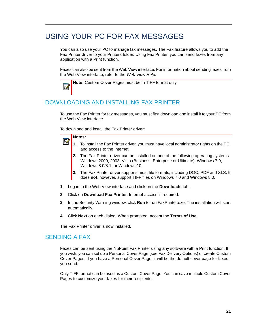## <span id="page-26-0"></span>USING YOUR PC FOR FAX MESSAGES

You can also use your PC to manage fax messages. The Fax feature allows you to add the Fax Printer driver to your Printers folder. Using Fax Printer, you can send faxes from any application with a Print function.

Faxes can also be sent from the Web View interface. For information about sending faxes from the Web View interface, refer to the *Web View Help*.

**Note:** Custom Cover Pages must be in TIFF format only.

## <span id="page-26-1"></span>DOWNLOADING AND INSTALLING FAX PRINTER

To use the Fax Printer for fax messages, you must first download and install it to your PC from the Web View interface.

To download and install the Fax Printer driver:

### **Notes:**

Е

Б

- **1.** To install the Fax Printer driver, you must have local administrator rights on the PC, and access to the Internet.
- **2.** The Fax Printer driver can be installed on one of the following operating systems: Windows 2000, 2003, Vista (Business, Enterprise or Ultimate), Windows 7.0, Windows 8.0/8.1, or Windows 10.
- **3.** The Fax Printer driver supports most file formats, including DOC, PDF and XLS. It does **not**, however, support TIFF files on Windows 7.0 and Windows 8.0.
- **1.** Log in to the Web View interface and click on the **Downloads** tab.
- **2.** Click on **Download Fax Printer**. Internet access is required.
- **3.** In the Security Warning window, click **Run** to run FaxPrinter.exe. The installation will start automatically.
- **4.** Click **Next** on each dialog. When prompted, accept the **Terms of Use**.

The Fax Printer driver is now installed.

### <span id="page-26-2"></span>SENDING A FAX

Faxes can be sent using the NuPoint Fax Printer using any software with a Print function. If you wish, you can set up a Personal Cover Page (see Fax Delivery Options) or create Custom Cover Pages. If you have a Personal Cover Page, it will be the default cover page for faxes you send.

Only TIFF format can be used as a Custom Cover Page. You can save multiple Custom Cover Pages to customize your faxes for their recipients.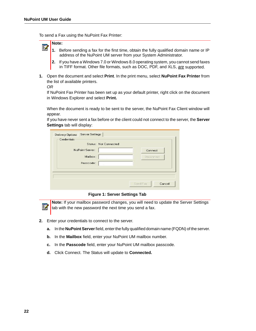To send a Fax using the NuPoint Fax Printer:

#### **Note:**  Ы

- **1.** Before sending a fax for the first time, obtain the fully qualified domain name or IP address of the NuPoint UM server from your System Administrator.
- **2.** If you have a Windows 7.0 or Windows 8.0 operating system, you cannot send faxes in TIFF format. Other file formats, such as DOC, PDF, and XLS, *are* supported.
- **1.** Open the document and select **Print**. In the print menu, select **NuPoint Fax Printer** from the list of available printers.

*OR*

57

If NuPoint Fax Printer has been set up as your default printer, right click on the document in Windows Explorer and select **Print.**

When the document is ready to be sent to the server, the NuPoint Fax Client window will appear.

If you have never sent a fax before or the client could not connect to the server, the **Server Settings** tab will display:

| NuPoint Server: | Connect    |
|-----------------|------------|
| Mailbox:        | Disconnect |
| Passcode:       |            |
|                 |            |

#### **Figure 1: Server Settings Tab**

**Note:** If your mailbox password changes, you will need to update the Server Settings tab with the new password the next time you send a fax.

- **2.** Enter your credentials to connect to the server.
	- **a.** In the **NuPoint Server** field, enter the fully qualified domain name (FQDN) of the server.
	- **b.** In the **Mailbox** field, enter your NuPoint UM mailbox number.
	- **c.** In the **Passcode** field, enter your NuPoint UM mailbox passcode.
	- **d.** Click Connect. The Status will update to **Connected.**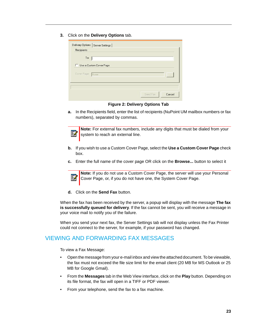**3.** Click on the **Delivery Options** tab.

| To:              |                         |  |  |
|------------------|-------------------------|--|--|
|                  | Use a Custom Cover Page |  |  |
| Cover Page: None |                         |  |  |
|                  |                         |  |  |

**Figure 2: Delivery Options Tab**

**a.** In the Recipients field, enter the list of recipients (NuPoint UM mailbox numbers or fax numbers), separated by commas.



**Note:** For external fax numbers, include any digits that must be dialed from your system to reach an external line.

- **b.** If you wish to use a Custom Cover Page, select the **Use a Custom Cover Page** check box.
- **c.** Enter the full name of the cover page OR click on the **Browse...** button to select it



**Note:** If you do not use a Custom Cover Page, the server will use your Personal Cover Page, or, if you do not have one, the System Cover Page.

**d.** Click on the **Send Fax** button.

When the fax has been received by the server, a popup will display with the message **The fax is successfully queued for delivery**. If the fax cannot be sent, you will receive a message in your voice mail to notify you of the failure.

When you send your next fax, the Server Settings tab will not display unless the Fax Printer could not connect to the server, for example, if your password has changed.

## <span id="page-28-0"></span>VIEWING AND FORWARDING FAX MESSAGES

To view a Fax Message:

- Open the message from your e-mail inbox and view the attached document. To be viewable, the fax must not exceed the file size limit for the email client (20 MB for MS Outlook or 25 MB for Google Gmail).
- From the **Messages** tab in the Web View interface, click on the **Play** button. Depending on its file format, the fax will open in a TIFF or PDF viewer.
- From your telephone, send the fax to a fax machine.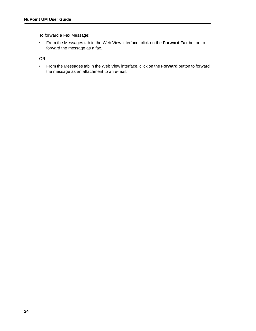To forward a Fax Message:

• From the Messages tab in the Web View interface, click on the **Forward Fax** button to forward the message as a fax.

OR

• From the Messages tab in the Web View interface, click on the **Forward** button to forward the message as an attachment to an e-mail.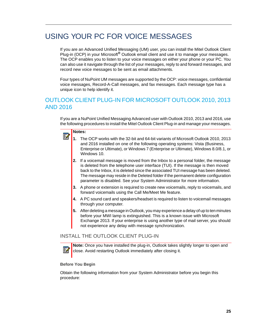## <span id="page-30-0"></span>USING YOUR PC FOR VOICE MESSAGES

If you are an Advanced Unified Messaging (UM) user, you can install the Mitel Outlook Client Plug-in (OCP) in your Microsoft**®** Outlook email client and use it to manage your messages. The OCP enables you to listen to your voice messages on either your phone or your PC. You can also use it navigate through the list of your messages, reply to and forward messages, and record new voice messages to be sent as email attachments.

Four types of NuPoint UM messages are supported by the OCP: voice messages, confidential voice messages, Record-A-Call messages, and fax messages. Each message type has a unique icon to help identify it.

## <span id="page-30-1"></span>OUTLOOK CLIENT PLUG-IN FOR MICROSOFT OUTLOOK 2010, 2013 AND 2016

If you are a NuPoint Unified Messaging Advanced user with Outlook 2010, 2013 and 2016, use the following procedures to install the Mitel Outlook Client Plug-in and manage your messages.

### **Notes:**

Б

- **1.** The OCP works with the 32-bit and 64-bit variants of Microsoft Outlook 2010, 2013 and 2016 installed on one of the following operating systems: Vista (Business, Enterprise or Ultimate), or Windows 7 (Enterprise or Ultimate), Windows 8.0/8.1, or Windows 10.
- **2.** If a voicemail message is moved from the Inbox to a personal folder, the message is deleted from the telephone user interface (TUI). If the message is then moved back to the Inbox, it is deleted since the associated TUI message has been deleted. The message may reside in the Deleted folder if the permanent delete configuration parameter is disabled. See your System Administrator for more information.
- **3.** A phone or extension is required to create new voicemails, reply to voicemails, and forward voicemails using the Call Me/Meet Me feature.
- **4.** A PC sound card and speakers/headset is required to listen to voicemail messages through your computer.
- **5.** After deleting a message in Outlook, you may experience a delay of up to ten minutes before your MWI lamp is extinguished. This is a known issue with Microsoft Exchange 2013. If your enterprise is using another type of mail server, you should not experience any delay with message synchronization.

### <span id="page-30-2"></span>INSTALL THE OUTLOOK CLIENT PLUG-IN

**24** 

**Note:** Once you have installed the plug-in, Outlook takes slightly longer to open and close. Avoid restarting Outlook immediately after closing it.

#### **Before You Begin**

Obtain the following information from your System Administrator before you begin this procedure: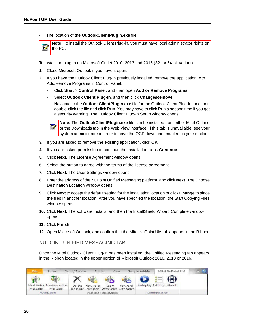• The location of the **OutlookClientPlugin.exe** file

**Note:** To install the Outlook Client Plug-in, you must have local administrator rights on F. the PC.

To install the plug-in on Microsoft Outlet 2010, 2013 and 2016 (32- or 64-bit variant):

- **1.** Close Microsoft Outlook if you have it open.
- **2.** If you have the Outlook Client Plug-in previously installed, remove the application with Add/Remove Programs in Control Panel:
	- Click **Start** > **Control Panel**, and then open **Add or Remove Programs**.
	- Select **Outlook Client Plug-in**, and then click **Change/Remove**.
	- Navigate to the **OutlookClientPlugin.exe** file for the Outlook Client Plug-in, and then double-click the file and click **Run**. You may have to click Run a second time if you get a security warning. The Outlook Client Plug-in Setup window opens.

БЛ

**Note:** The **OutlookClientPlugin.exe** file can be installed from either Mitel OnLine or the Downloads tab in the Web View interface. If this tab is unavailable, see your system administrator in order to have the OCP download enabled on your mailbox.

- **3.** If you are asked to remove the existing application, click **OK**.
- **4.** If you are asked permission to continue the installation, click **Continue**.
- **5.** Click **Next.** The License Agreement window opens.
- **6.** Select the button to agree with the terms of the license agreement.
- **7.** Click **Next.** The User Settings window opens.
- **8.** Enter the address of the NuPoint Unified Messaging platform, and click **Next**. The Choose Destination Location window opens.
- **9.** Click **Next** to accept the default setting for the installation location or click **Change** to place the files in another location. After you have specified the location, the Start Copying Files window opens.
- **10.** Click **Next.** The software installs, and then the InstallShield Wizard Complete window opens.
- **11.** Click **Finish**.
- **12.** Open Microsoft Outlook, and confirm that the Mitel NuPoint UM tab appears in the Ribbon.

<span id="page-31-0"></span>NUPOINT UNIFIED MESSAGING TAB

Once the Mitel Outlook Client Plug-in has been installed, the Unified Messaging tab appears in the Ribbon located in the upper portion of Microsoft Outlook 2010, 2013 or 2016.

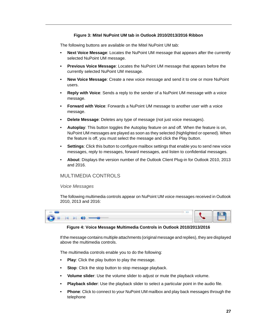#### **Figure 3: Mitel NuPoint UM tab in Outlook 2010/2013/2016 Ribbon**

The following buttons are available on the Mitel NuPoint UM tab:

- **Next Voice Message**: Locates the NuPoint UM message that appears after the currently selected NuPoint UM message.
- **Previous Voice Message**: Locates the NuPoint UM message that appears before the currently selected NuPoint UM message.
- **New Voice Message**: Create a new voice message and send it to one or more NuPoint users.
- **Reply with Voice**: Sends a reply to the sender of a NuPoint UM message with a voice message.
- **Forward with Voice**: Forwards a NuPoint UM message to another user with a voice message.
- **Delete Message**: Deletes any type of message (not just voice messages).
- **Autoplay**: This button toggles the Autoplay feature on and off. When the feature is on, NuPoint UM messages are played as soon as they selected (highlighted or opened). When the feature is off, you must select the message and click the Play button.
- **Settings:** Click this button to configure mailbox settings that enable you to send new voice messages, reply to messages, forward messages, and listen to confidential messages.
- **About**: Displays the version number of the Outlook Client Plug-in for Outlook 2010, 2013 and 2016.

### <span id="page-32-0"></span>MULTIMEDIA CONTROLS

#### *Voice Messages*

The following multimedia controls appear on NuPoint UM voice messages received in Outlook 2010, 2013 and 2016:



#### **Figure 4: Voice Message Multimedia Controls in Outlook 2010/2013/2016**

If the message contains multiple attachments (original message and replies), they are displayed above the multimedia controls.

The multimedia controls enable you to do the following:

- **Play**: Click the play button to play the message.
- **Stop**: Click the stop button to stop message playback.
- **Volume slider**: Use the volume slider to adjust or mute the playback volume.
- **Playback slider**: Use the playback slider to select a particular point in the audio file.
- **Phone**: Click to connect to your NuPoint UM mailbox and play back messages through the telephone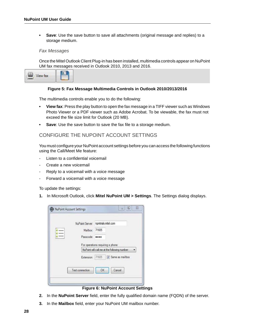**• Save**: Use the save button to save all attachments (original message and replies) to a storage medium.

#### *Fax Messages*

Once the Mitel Outlook Client Plug-in has been installed, multimedia controls appear on NuPoint UM fax messages received in Outlook 2010, 2013 and 2016.

| AW TAY<br><b>CARDON</b> |  |
|-------------------------|--|
|-------------------------|--|

#### **Figure 5: Fax Message Multimedia Controls in Outlook 2010/2013/2016**

The multimedia controls enable you to do the following:

- **View fax**: Press the play button to open the fax message in a TIFF viewer such as Windows Photo Viewer or a PDF viewer such as Adobe Acrobat. To be viewable, the fax must not exceed the file size limit for Outlook (20 MB).
- **Save**: Use the save button to save the fax file to a storage medium.

### <span id="page-33-0"></span>CONFIGURE THE NUPOINT ACCOUNT SETTINGS

You must configure your NuPoint account settings before you can access the following functions using the Call/Meet Me feature:

- Listen to a confidential voicemail
- Create a new voicemail
- Reply to a voicemail with a voice message
- Forward a voicemail with a voice message

To update the settings:

**1.** In Microsoft Outlook, click **Mitel NuPoint UM > Settings**. The Settings dialog displays.

| NuPoint Server: npmtrials.mitel.com |       |                                               |
|-------------------------------------|-------|-----------------------------------------------|
| Mailbox: 71605                      |       |                                               |
| Passcode:                           |       |                                               |
|                                     |       | NuPoint will call me at the following number: |
| Extension:                          | 71605 | Same as mailbox                               |
|                                     |       |                                               |
| Test connection                     | OK    | Cancel                                        |

#### **Figure 6: NuPoint Account Settings**

- **2.** In the **NuPoint Server** field, enter the fully qualified domain name (FQDN) of the server.
- **3.** In the **Mailbox** field, enter your NuPoint UM mailbox number.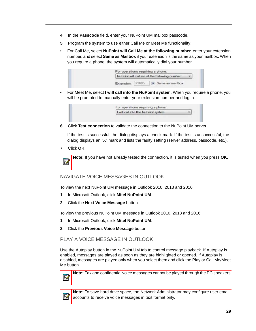- **4.** In the **Passcode** field, enter your NuPoint UM mailbox passcode.
- **5.** Program the system to use either Call Me or Meet Me functionality:
- For Call Me, select **NuPoint will Call Me at the following number**, enter your extension number, and select **Same as Mailbox** if your extension is the same as your mailbox. When you require a phone, the system will automatically dial your number.



• For Meet Me, select **I will call into the NuPoint system**. When you require a phone, you will be prompted to manually enter your extension number and log in.



**6.** Click **Test connection** to validate the connection to the NuPoint UM server.

If the test is successful, the dialog displays a check mark. If the test is unsuccessful, the dialog displays an "X" mark and lists the faulty setting (server address, passcode, etc.).

**7.** Click **OK**.

**Note:** If you have not already tested the connection, it is tested when you press **OK**. M

### <span id="page-34-0"></span>NAVIGATE VOICE MESSAGES IN OUTLOOK

To view the next NuPoint UM message in Outlook 2010, 2013 and 2016:

- **1.** In Microsoft Outlook, click **Mitel NuPoint UM**.
- **2.** Click the **Next Voice Message** button.

To view the previous NuPoint UM message in Outlook 2010, 2013 and 2016:

- **1.** In Microsoft Outlook, click **Mitel NuPoint UM**.
- **2.** Click the **Previous Voice Message** button.

### <span id="page-34-1"></span>PLAY A VOICE MESSAGE IN OUTLOOK

Use the Autoplay button in the NuPoint UM tab to control message playback. If Autoplay is enabled, messages are played as soon as they are highlighted or opened. If Autoplay is disabled, messages are played only when you select them and click the Play or Call Me/Meet Me button.

F.

**Note:** Fax and confidential voice messages cannot be played through the PC speakers.



**Note:** To save hard drive space, the Network Administrator may configure user email accounts to receive voice messages in text format only.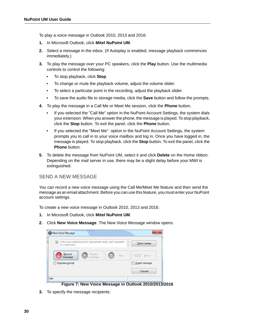To play a voice message in Outlook 2010, 2013 and 2016:

- **1.** In Microsoft Outlook, click **Mitel NuPoint UM**.
- **2.** Select a message in the inbox. (If Autoplay is enabled, message playback commences immediately.)
- **3.** To play the message over your PC speakers, click the **Play** button. Use the multimedia controls to control the following:
	- To stop playback, click **Stop**.
	- To change or mute the playback volume, adjust the volume slider.
	- To select a particular point in the recording, adjust the playback slider.
	- To save the audio file to storage media, click the **Save** button and follow the prompts.
- **4.** To play the message in a Call Me or Meet Me session, click the **Phone** button.
	- If you selected the "Call Me" option in the NuPoint Account Settings, the system dials your extension. When you answer the phone, the message is played. To stop playback, click the **Stop** button. To exit the panel, click the **Phone** button.
	- If you selected the "Meet Me" option in the NuPoint Account Settings, the system prompts you to call in to your voice mailbox and log in. Once you have logged in, the message is played. To stop playback, click the **Stop** button. To exit the panel, click the **Phone** button.
- **5.** To delete the message from NuPoint UM, select it and click **Delete** on the Home ribbon. Depending on the mail server in use, there may be a slight delay before your MWI is extinguished.

### <span id="page-35-0"></span>SEND A NEW MESSAGE

You can record a new voice message using the Call Me/Meet Me feature and then send the message as an email attachment. Before you can use this feature, you must enter your NuPoint account settings.

To create a new voice message in Outlook 2010, 2013 and 2016:

- **1.** In Microsoft Outlook, click **Mitel NuPoint UM**.
- **2.** Click **New Voice Message**. The New Voice Message window opens.



**Figure 7: New Voice Message in Outlook 2010/2013/2016**

**3.** To specify the message recipients: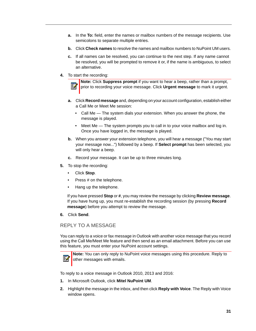- **a.** In the **To:** field, enter the names or mailbox numbers of the message recipients. Use semicolons to separate multiple entries.
- **b.** Click **Check names** to resolve the names and mailbox numbers to NuPoint UM users.
- **c.** If all names can be resolved, you can continue to the next step. If any name cannot be resolved, you will be prompted to remove it or, if the name is ambiguous, to select an alternative.
- **4.** To start the recording:

54

**Note:** Click **Suppress prompt** if you want to hear a beep, rather than a prompt, prior to recording your voice message. Click **Urgent message** to mark it urgent.

- **a.** Click **Record message** and, depending on your account configuration, establish either a Call Me or Meet Me session:
	- Call Me The system dials your extension. When you answer the phone, the message is played.
	- Meet Me The system prompts you to call in to your voice mailbox and log in. Once you have logged in, the message is played.
- **b.** When you answer your extension telephone, you will hear a message ("You may start your message now...") followed by a beep. If **Select prompt** has been selected, you will only hear a beep.
- **c.** Record your message. It can be up to three minutes long.
- **5.** To stop the recording:
	- Click **Stop**.
	- Press # on the telephone.
	- Hang up the telephone.

If you have pressed **Stop** or **#**, you may review the message by clicking **Review message**. If you have hung up, you must re-establish the recording session (by pressing **Record message**) before you attempt to review the message.

**6.** Click **Send**.

### <span id="page-36-0"></span>REPLY TO A MESSAGE

You can reply to a voice or fax message in Outlook with another voice message that you record using the Call Me/Meet Me feature and then send as an email attachment. Before you can use this feature, you must enter your NuPoint account settings.



**Note:** You can only reply to NuPoint voice messages using this procedure. Reply to other messages with emails.

To reply to a voice message in Outlook 2010, 2013 and 2016:

- **1.** In Microsoft Outlook, click **Mitel NuPoint UM**.
- **2.** Highlight the message in the inbox, and then click **Reply with Voice**. The Reply with Voice window opens.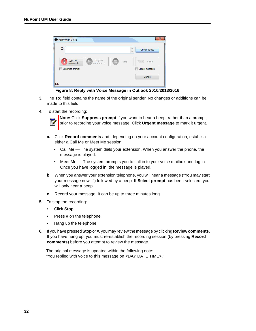| $\overline{\text{Io}}$                                       | À<br>$\overline{\mathcal{M}}$ | Check names                     |
|--------------------------------------------------------------|-------------------------------|---------------------------------|
| Review<br>Record<br>$\ddot{\bullet}$<br>comments<br>comments | Stop                          | $\overline{z}$ $\times$<br>Send |
| Suppress prompt                                              |                               | Urgent message                  |
|                                                              |                               | Cancel                          |

**Figure 8: Reply with Voice Message in Outlook 2010/2013/2016**

- **3.** The **To:** field contains the name of the original sender. No changes or additions can be made to this field.
- **4.** To start the recording:

M

**Note:** Click **Suppress prompt** if you want to hear a beep, rather than a prompt, prior to recording your voice message. Click **Urgent message** to mark it urgent.

- **a.** Click **Record comments** and, depending on your account configuration, establish either a Call Me or Meet Me session:
	- Call Me The system dials your extension. When you answer the phone, the message is played.
	- Meet Me The system prompts you to call in to your voice mailbox and log in. Once you have logged in, the message is played.
- **b.** When you answer your extension telephone, you will hear a message ("You may start your message now...") followed by a beep. If **Select prompt** has been selected, you will only hear a beep.
- **c.** Record your message. It can be up to three minutes long.
- **5.** To stop the recording:
	- Click **Stop**.
	- Press # on the telephone.
	- Hang up the telephone.
- **6.** If you have pressed **Stop** or **#**, you may review the message by clicking **Review comments**. If you have hung up, you must re-establish the recording session (by pressing **Record comments**) before you attempt to review the message.

The original message is updated within the following note: "You replied with voice to this message on <DAY DATE TIME>."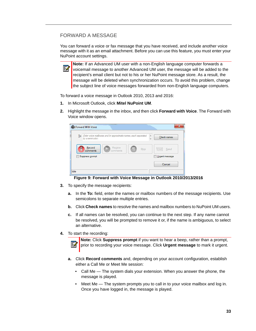### <span id="page-38-0"></span>FORWARD A MESSAGE

You can forward a voice or fax message that you have received, and include another voice message with it as an email attachment. Before you can use this feature, you must enter your NuPoint account settings.

**Note:** If an Advanced UM user with a non-English language computer forwards a Ы voicemail message to another Advanced UM user, the message will be added to the recipient's email client but not to his or her NuPoint message store. As a result, the message will be deleted when synchronization occurs. To avoid this problem, change the subject line of voice messages forwarded from non-English language computers.

To forward a voice message in Outlook 2010, 2013 and 2016:

- **1.** In Microsoft Outlook, click **Mitel NuPoint UM**.
- **2.** Highlight the message in the inbox, and then click **Forward with Voice**. The Forward with Voice window opens.



### **Figure 9: Forward with Voice Message in Outlook 2010/2013/2016**

- **3.** To specify the message recipients:
	- **a.** In the **To:** field, enter the names or mailbox numbers of the message recipients. Use semicolons to separate multiple entries.
	- **b.** Click **Check names** to resolve the names and mailbox numbers to NuPoint UM users.
	- **c.** If all names can be resolved, you can continue to the next step. If any name cannot be resolved, you will be prompted to remove it or, if the name is ambiguous, to select an alternative.
- **4.** To start the recording:

**Note:** Click **Suppress prompt** if you want to hear a beep, rather than a prompt, Ы prior to recording your voice message. Click **Urgent message** to mark it urgent.

- **a.** Click **Record comments** and, depending on your account configuration, establish either a Call Me or Meet Me session:
	- Call Me The system dials your extension. When you answer the phone, the message is played.
	- Meet Me The system prompts you to call in to your voice mailbox and log in. Once you have logged in, the message is played.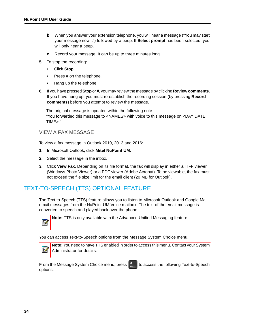- **b.** When you answer your extension telephone, you will hear a message ("You may start your message now...") followed by a beep. If **Select prompt** has been selected, you will only hear a beep.
- **c.** Record your message. It can be up to three minutes long.
- **5.** To stop the recording:
	- Click **Stop**.
	- Press # on the telephone.
	- Hang up the telephone.
- **6.** If you have pressed **Stop** or **#**, you may review the message by clicking **Review comments**. If you have hung up, you must re-establish the recording session (by pressing **Record comments**) before you attempt to review the message.

The original message is updated within the following note: "You forwarded this message to <NAMES> with voice to this message on <DAY DATE TIME>."

### <span id="page-39-0"></span>VIEW A FAX MESSAGE

To view a fax message in Outlook 2010, 2013 and 2016:

- **1.** In Microsoft Outlook, click **Mitel NuPoint UM**.
- **2.** Select the message in the inbox.
- **3.** Click **View Fax**. Depending on its file format, the fax will display in either a TIFF viewer (Windows Photo Viewer) or a PDF viewer (Adobe Acrobat). To be viewable, the fax must not exceed the file size limit for the email client (20 MB for Outlook).

## <span id="page-39-1"></span>TEXT-TO-SPEECH (TTS) OPTIONAL FEATURE

The Text-to-Speech (TTS) feature allows you to listen to Microsoft Outlook and Google Mail email messages from the NuPoint UM Voice mailbox. The text of the email message is converted to speech and played back over the phone.



**Note:** TTS is only available with the Advanced Unified Messaging feature.

You can access Text-to-Speech options from the Message System Choice menu.



**Note:** You need to have TTS enabled in order to access this menu. Contact your System Administrator for details.

From the Message System Choice menu, press  $\frac{3}{25}$  to access the following Text-to-Speech options: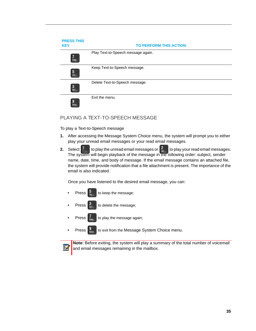| <b>PRESS THIS</b><br><b>KEY</b> | <b>TO PERFORM THIS ACTION</b>      |  |  |
|---------------------------------|------------------------------------|--|--|
| <b>PORS</b>                     | Play Text-to-Speech message again. |  |  |
| 5<br><b>JKL</b>                 | Keep Text-to-Speech message.       |  |  |
| 3<br><b>DEF</b>                 | Delete Text-to-Speech message.     |  |  |
| g<br><b>WXYZ</b>                | Exit the menu.                     |  |  |

### <span id="page-40-0"></span>PLAYING A TEXT-TO-SPEECH MESSAGE

To play a Text-to-Speech message

- **1.** After accessing the Message System Choice menu, the system will prompt you to either play your unread email messages or your read email messages.
- **2.** Select  $\begin{bmatrix} 1 \\ 1 \end{bmatrix}$  to play the unread email messages or  $\begin{bmatrix} 1 \\ 4n \end{bmatrix}$  to play your read email messages. The system will begin playback of the message in the following order: subject, sender name, date, time, and body of message. If the email message contains an attached file, the system will provide notification that a file attachment is present. The importance of the email is also indicated.

Once you have listened to the desired email message, you can:

- Press  $\begin{bmatrix} 5 \\ \frac{1}{2} \end{bmatrix}$  to keep the message;
- Press  $\begin{array}{|c|c|} \hline 3 & 3 \\ \hline 1 & 3 \end{array}$  to delete the message;

И

- Press  $\begin{bmatrix} 7 \\ \frac{p}{p} \\ \frac{p}{q} \\ \frac{p}{q} \\ \frac{p}{q} \\ \frac{p}{q} \\ \frac{p}{q} \\ \frac{p}{q} \\ \frac{p}{q} \\ \frac{p}{q} \\ \frac{p}{q} \\ \frac{p}{q} \\ \frac{p}{q} \\ \frac{p}{q} \\ \frac{p}{q} \\ \frac{p}{q} \\ \frac{p}{q} \\ \frac{p}{q} \\ \frac{p}{q} \\ \frac{p}{q} \\ \frac{p}{q} \\ \frac{p}{q} \\ \frac{p}{q} \\ \frac{p}{q} \\ \frac{p}{q} \\ \frac{p}{q} \\ \frac{p}{$
- Press  $\boxed{\frac{9}{\text{max}}}$  to exit from the Message System Choice menu.

**Note:** Before exiting, the system will play a summary of the total number of voicemail and email messages remaining in the mailbox.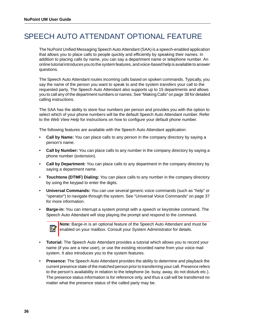## <span id="page-41-0"></span>SPEECH AUTO ATTENDANT OPTIONAL FEATURE

The NuPoint Unified Messaging Speech Auto Attendant (SAA) is a speech-enabled application that allows you to place calls to people quickly and efficiently by speaking their names. In addition to placing calls by name, you can say a department name or telephone number. An online tutorial introduces you to the system features, and voice-based help is available to answer questions.

The Speech Auto Attendant routes incoming calls based on spoken commands. Typically, you say the name of the person you want to speak to and the system transfers your call to the requested party. The Speech Auto Attendant also supports up to 15 departments and allows you to call any of the department numbers or names. See ["Making Calls" on page 38](#page-43-0) for detailed calling instructions.

The SAA has the ability to store four numbers per person and provides you with the option to select which of your phone numbers will be the default Speech Auto Attendant number. Refer to the *Web View Help* for instructions on how to configure your default phone number.

The following features are available with the Speech Auto Attendant application:

- **Call by Name:** You can place calls to any person in the company directory by saying a person's name.
- **Call by Number:** You can place calls to any number in the company directory by saying a phone number (extension).
- **Call by Department:** You can place calls to any department in the company directory by saying a department name.
- **Touchtone (DTMF) Dialing:** You can place calls to any number in the company directory by using the keypad to enter the digits.
- **Universal Commands:** You can use several generic voice commands (such as "help" or "operator") to navigate through the system. See ["Universal Voice Commands" on page 37](#page-42-1)  for more information.
- **Barge-in:** You can interrupt a system prompt with a speech or keystroke command. The Speech Auto Attendant will stop playing the prompt and respond to the command.



**Note:** Barge-in is an optional feature of the Speech Auto Attendant and must be enabled on your mailbox. Consult your System Administrator for details.

- **Tutorial:** The Speech Auto Attendant provides a tutorial which allows you to record your name (if you are a new user), or use the existing recorded name from your voice mail system. It also introduces you to the system features.
- **Presence:** The Speech Auto Attendant provides the ability to determine and playback the current presence state of the matched person prior to transferring your call. Presence refers to the person's availability in relation to the telephone (ie. busy, away, do not disturb etc.). The presence status information is for reference only, and thus a call will be transferred no matter what the presence status of the called party may be.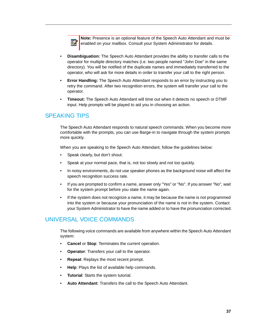**Note:** Presence is an optional feature of the Speech Auto Attendant and must be M enabled on your mailbox. Consult your System Administrator for details.

- **Disambiguation:** The Speech Auto Attendant provides the ability to transfer calls to the operator for multiple directory matches (i.e. two people named "John Doe" in the same directory). You will be notified of the duplicate names and immediately transferred to the operator, who will ask for more details in order to transfer your call to the right person.
- **Error Handling:** The Speech Auto Attendant responds to an error by instructing you to retry the command. After two recognition errors, the system will transfer your call to the operator.
- **Timeout:** The Speech Auto Attendant will time out when it detects no speech or DTMF input. Help prompts will be played to aid you in choosing an action.

### <span id="page-42-0"></span>SPEAKING TIPS

The Speech Auto Attendant responds to natural speech commands. When you become more comfortable with the prompts, you can use Barge-in to navigate through the system prompts more quickly.

When you are speaking to the Speech Auto Attendant, follow the guidelines below:

- Speak clearly, but don't shout.
- Speak at your normal pace, that is, not too slowly and not too quickly.
- In noisy environments, do not use speaker phones as the background noise will affect the speech recognition success rate.
- If you are prompted to confirm a name, answer only "Yes" or "No". If you answer "No", wait for the system prompt before you state the name again.
- If the system does not recognize a name, it may be because the name is not programmed into the system or because your pronunciation of the name is not in the system. Contact your System Administrator to have the name added or to have the pronunciation corrected.

### <span id="page-42-1"></span>UNIVERSAL VOICE COMMANDS

The following voice commands are available from anywhere within the Speech Auto Attendant system:

- **Cancel** or **Stop**: Terminates the current operation.
- **Operator:** Transfers your call to the operator.
- **Repeat**: Replays the most recent prompt.
- **Help**: Plays the list of available help commands.
- **Tutorial**: Starts the system tutorial.
- **Auto Attendant**: Transfers the call to the Speech Auto Attendant.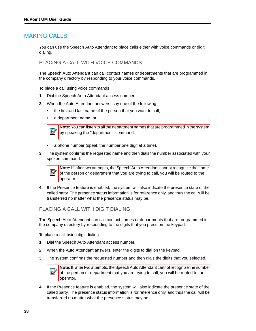### <span id="page-43-0"></span>MAKING CALLS

You can use the Speech Auto Attendant to place calls either with voice commands or digit dialing.

### <span id="page-43-1"></span>PLACING A CALL WITH VOICE COMMANDS

The Speech Auto Attendant can call contact names or departments that are programmed in the company directory by responding to your voice commands.

To place a call using voice commands

- **1.** Dial the Speech Auto Attendant access number.
- **2.** When the Auto Attendant answers, say one of the following:
	- the first and last name of the person that you want to call;
	- a department name; or



**Note:** You can listen to all the department names that are programmed in the system by speaking the "department" command.

- a phone number (speak the number one digit at a time).
- **3.** The system confirms the requested name and then dials the number associated with your spoken command.



**Note:** If, after two attempts, the Speech Auto Attendant cannot recognize the name of the person or department that you are trying to call, you will be routed to the operator.

**4.** If the Presence feature is enabled, the system will also indicate the presence state of the called party. The presence status information is for reference only, and thus the call will be transferred no matter what the presence status may be.

### <span id="page-43-2"></span>PLACING A CALL WITH DIGIT DIALING

The Speech Auto Attendant can call contact names or departments that are programmed in the company directory by responding to the digits that you press on the keypad.

To place a call using digit dialing

- **1.** Dial the Speech Auto Attendant access number.
- **2.** When the Auto Attendant answers, enter the digits to dial on the keypad.
- **3.** The system confirms the requested number and then dials the digits that you selected.



**Note:** If, after two attempts, the Speech Auto Attendant cannot recognize the number of the person or department that you are trying to call, you will be routed to the operator.

**4.** If the Presence feature is enabled, the system will also indicate the presence state of the called party. The presence status information is for reference only, and thus the call will be transferred no matter what the presence status may be.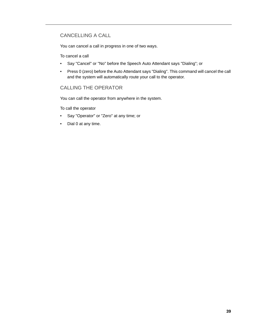### <span id="page-44-0"></span>CANCELLING A CALL

You can cancel a call in progress in one of two ways.

To cancel a call

- Say "Cancel" or "No" before the Speech Auto Attendant says "Dialing"; or
- Press 0 (zero) before the Auto Attendant says "Dialing". This command will cancel the call and the system will automatically route your call to the operator.

### <span id="page-44-1"></span>CALLING THE OPERATOR

You can call the operator from anywhere in the system.

To call the operator

- Say "Operator" or "Zero" at any time; or
- Dial 0 at any time.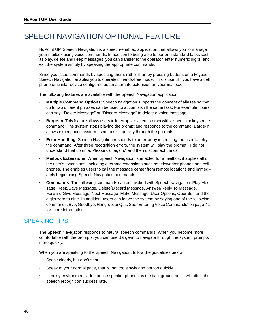## <span id="page-45-0"></span>SPEECH NAVIGATION OPTIONAL FEATURE

NuPoint UM Speech Navigation is a speech-enabled application that allows you to manage your mailbox using voice commands. In addition to being able to perform standard tasks such as play, delete and keep messages, you can transfer to the operator, enter numeric digits, and exit the system simply by speaking the appropriate commands.

Since you issue commands by speaking them, rather than by pressing buttons on a keypad, Speech Navigation enables you to operate in hands-free mode. This is useful if you have a cell phone or similar device configured as an alternate extension on your mailbox.

The following features are available with the Speech Navigation application:

- **Multiple Command Options**: Speech navigation supports the concept of aliases so that up to two different phrases can be used to accomplish the same task. For example, users can say, "Delete Message" or "Discard Message" to delete a voice message.
- **Barge-In**: This feature allows users to interrupt a system prompt with a speech or keystroke command. The system stops playing the prompt and responds to the command. Barge-in allows experienced system users to skip quickly through the prompts.
- **Error Handling**: Speech Navigation responds to an error by instructing the user to retry the command. After three recognition errors, the system will play the prompt, "I do not understand that comma: Please call again," and then disconnect the call.
- **Mailbox Extensions**: When Speech Navigation is enabled for a mailbox, it applies all of the user's extensions, including alternate extensions such as teleworker phones and cell phones. The enables users to call the message center from remote locations and immediately begin using Speech Navigation commands.
- **Commands**: The following commands can be invoked with Speech Navigation: Play Message, Keep/Save Message, Delete/Discard Message, Answer/Reply To Message, Forward/Give Message, Next Message, Make Message, User Options, Operator, and the digits zero to nine. In addition, users can leave the system by saying one of the following commands: Bye, Goodbye, Hang-up, or Quit. See ["Entering Voice Commands" on page 41](#page-46-2) for more information.

### <span id="page-45-1"></span>SPEAKING TIPS

The Speech Navigation responds to natural speech commands. When you become more comfortable with the prompts, you can use Barge-in to navigate through the system prompts more quickly.

When you are speaking to the Speech Navigation, follow the guidelines below:

- Speak clearly, but don't shout.
- Speak at your normal pace, that is, not too slowly and not too quickly.
- In noisy environments, do not use speaker phones as the background noise will affect the speech recognition success rate.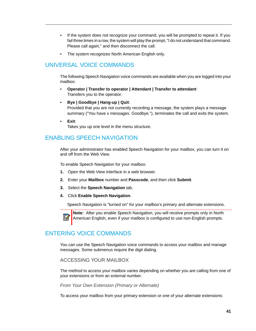- If the system does not recognize your command, you will be prompted to repeat it. If you fail three times in a row, the system will play the prompt, "I do not understand that command. Please call again," and then disconnect the call.
- The system recognizes North American English only.

## <span id="page-46-0"></span>UNIVERSAL VOICE COMMANDS

The following Speech Navigation voice commands are available when you are logged into your mailbox:

- **Operator | Transfer to operator | Attendant | Transfer to attendant**: Transfers you to the operator.
- **Bye | Goodbye | Hang-up | Quit**: Provided that you are not currently recording a message, the system plays a message summary ("You have x messages. Goodbye."), terminates the call and exits the system.
- **Exit**:

Ø

Takes you up one level in the menu structure.

### <span id="page-46-1"></span>ENABLING SPEECH NAVIGATION

After your administrator has enabled Speech Navigation for your mailbox, you can turn it on and off from the Web View.

To enable Speech Navigation for your mailbox:

- **1.** Open the Web View interface in a web browser.
- **2.** Enter your **Mailbox** number and **Passcode**, and then click **Submit**.
- **3.** Select the **Speech Navigation** tab.
- **4.** Click **Enable Speech Navigation**.

Speech Navigation is "turned on" for your mailbox's primary and alternate extensions.

**Note:** After you enable Speech Navigation, you will receive prompts only in North American English, even if your mailbox is configured to use non-English prompts.

## <span id="page-46-2"></span>ENTERING VOICE COMMANDS

You can use the Speech Navigation voice commands to access your mailbox and manage messages. Some submenus require the digit dialing.

<span id="page-46-3"></span>ACCESSING YOUR MAILBOX

The method to access your mailbox varies depending on whether you are calling from one of your extensions or from an external number.

*From Your Own Extension (Primary or Alternate)*

To access your mailbox from your primary extension or one of your alternate extensions: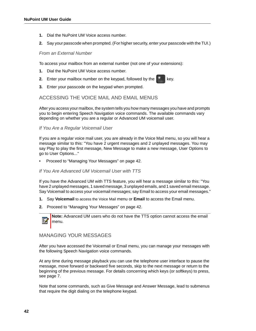- **1.** Dial the NuPoint UM Voice access number.
- **2.** Say your passcode when prompted. (For higher security, enter your passcode with the TUI.)

### *From an External Number*

To access your mailbox from an external number (not one of your extensions):

- **1.** Dial the NuPoint UM Voice access number.
- **2.** Enter your mailbox number on the keypad, followed by the  $\mathbb{R}^*$  key.
- **3.** Enter your passcode on the keypad when prompted.

### <span id="page-47-0"></span>ACCESSING THE VOICE MAIL AND EMAIL MENUS

After you access your mailbox, the system tells you how many messages you have and prompts you to begin entering Speech Navigation voice commands. The available commands vary depending on whether you are a regular or Advanced UM voicemail user.

### *If You Are a Regular Voicemail User*

If you are a regular voice mail user, you are already in the Voice Mail menu, so you will hear a message similar to this: "You have 2 urgent messages and 2 unplayed messages. You may say Play to play the first message, New Message to make a new message, User Options to go to User Options..."

• Proceed to ["Managing Your Messages" on page 42](#page-47-1).

### *If You Are Advanced UM Voicemail User with TTS*

If you have the Advanced UM with TTS feature, you will hear a message similar to this: "You have 2 unplayed messages, 1 saved message, 3 unplayed emails, and 1 saved email message. Say Voicemail to access your voicemail messages; say Email to access your email messages."

- **1.** Say **Voicemail** to access the Voice Mail menu or **Email** to access the Email menu.
- **2.** Proceed to ["Managing Your Messages" on page 42.](#page-47-1)

**Note:** Advanced UM users who do not have the TTS option cannot access the email menu.

### <span id="page-47-1"></span>MANAGING YOUR MESSAGES

After you have accessed the Voicemail or Email menu, you can manage your messages with the following Speech Navigation voice commands.

At any time during message playback you can use the telephone user interface to pause the message, move forward or backward five seconds, skip to the next message or return to the beginning of the previous message. For details concerning which keys (or softkeys) to press, see [page 7.](#page-12-0)

Note that some commands, such as Give Message and Answer Message, lead to submenus that require the digit dialing on the telephone keypad.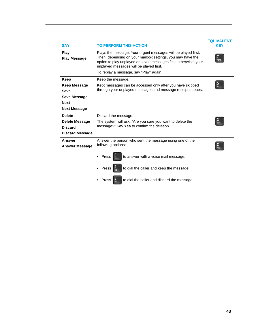| <b>SAY</b>                         | <b>TO PERFORM THIS ACTION</b>                                                                                                                                                                                                              | <b>EQUIVALENT</b><br><b>KEY</b> |
|------------------------------------|--------------------------------------------------------------------------------------------------------------------------------------------------------------------------------------------------------------------------------------------|---------------------------------|
| <b>Play</b><br><b>Play Message</b> | Plays the message. Your urgent messages will be played first.<br>Then, depending on your mailbox settings, you may have the<br>option to play unplayed or saved messages first; otherwise, your<br>unplayed messages will be played first. | PORS                            |
|                                    | To replay a message, say "Play" again.                                                                                                                                                                                                     |                                 |
| Keep                               | Keep the message.                                                                                                                                                                                                                          |                                 |
| <b>Keep Message</b>                | Kept messages can be accessed only after you have skipped                                                                                                                                                                                  |                                 |
| Save                               | through your unplayed messages and message receipt queues.                                                                                                                                                                                 |                                 |
| Save Message                       |                                                                                                                                                                                                                                            |                                 |
| <b>Next</b>                        |                                                                                                                                                                                                                                            |                                 |
| <b>Next Message</b>                |                                                                                                                                                                                                                                            |                                 |
| <b>Delete</b>                      | Discard the message.                                                                                                                                                                                                                       |                                 |
| <b>Delete Message</b>              | The system will ask, "Are you sure you want to delete the                                                                                                                                                                                  |                                 |
| <b>Discard</b>                     | message?" Say Yes to confirm the deletion.                                                                                                                                                                                                 |                                 |
| <b>Discard Message</b>             |                                                                                                                                                                                                                                            |                                 |
| <b>Answer</b>                      | Answer the person who sent the message using one of the                                                                                                                                                                                    |                                 |
| <b>Answer Message</b>              | following options:                                                                                                                                                                                                                         |                                 |
|                                    | to answer with a voice mail message.<br>Press                                                                                                                                                                                              |                                 |
|                                    | to dial the caller and keep the message.<br>Press                                                                                                                                                                                          |                                 |
|                                    | to dial the caller and discard the message.<br>Press                                                                                                                                                                                       |                                 |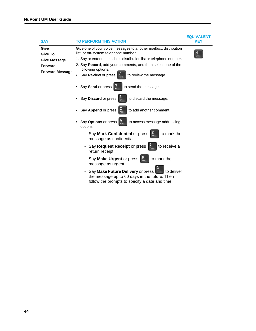| <b>SAY</b>                                                                         | <b>TO PERFORM THIS ACTION</b>                                                                                                                                                                                                                                                                                           | <b>EQUIVALENT</b><br>KEY |
|------------------------------------------------------------------------------------|-------------------------------------------------------------------------------------------------------------------------------------------------------------------------------------------------------------------------------------------------------------------------------------------------------------------------|--------------------------|
| Give<br>Give To<br><b>Give Message</b><br><b>Forward</b><br><b>Forward Message</b> | Give one of your voice messages to another mailbox, distribution<br>list, or off-system telephone number.<br>1. Say or enter the mailbox, distribution list or telephone number.<br>2. Say Record, add your comments, and then select one of the<br>following options:<br>Say Review or press<br>to review the message. | GHI                      |
|                                                                                    | Say Send or press<br>to send the message.<br>WXY7<br>Say Discard or press<br>to discard the message.                                                                                                                                                                                                                    |                          |
|                                                                                    | Say Append or press<br>to add another comment.<br>Say Options or press  <br>to access message addressing<br>options:<br>- Say Mark Confidential or press<br>to mark the<br>message as confidential.                                                                                                                     |                          |
|                                                                                    | Say Request Receipt or press  <br>to receive a<br>return receipt.<br>to mark the<br>Say Make Urgent or press<br>message as urgent.<br>Say Make Future Delivery or press<br>to deliver<br>the message up to 60 days in the future. Then<br>follow the prompts to specify a date and time.                                |                          |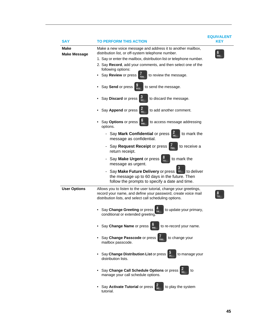| SAY                         | TO PERFORM THIS ACTION                                                                                                                                                                                                                                                                                                            | <b>EQUIVALENT</b><br>KEY |
|-----------------------------|-----------------------------------------------------------------------------------------------------------------------------------------------------------------------------------------------------------------------------------------------------------------------------------------------------------------------------------|--------------------------|
| Make<br><b>Make Message</b> | Make a new voice message and address it to another mailbox,<br>distribution list, or off-system telephone number.<br>1. Say or enter the mailbox, distribution list or telephone number.<br>2. Say Record, add your comments, and then select one of the<br>following options:<br>• Say Review or press<br>to review the message. | MNO                      |
|                             | • Say Send or press<br>to send the message.                                                                                                                                                                                                                                                                                       |                          |
|                             | Say Discard or press<br>to discard the message.                                                                                                                                                                                                                                                                                   |                          |
|                             | Say Append or press<br>to add another comment.<br>ABC                                                                                                                                                                                                                                                                             |                          |
|                             | • Say Options or press<br>to access message addressing<br>options.                                                                                                                                                                                                                                                                |                          |
|                             | - Say Mark Confidential or press<br>to mark the<br>message as confidential.                                                                                                                                                                                                                                                       |                          |
|                             | - Say Request Receipt or press<br>to receive a<br>return receipt.                                                                                                                                                                                                                                                                 |                          |
|                             | - Say Make Urgent or press<br>to mark the<br>message as urgent.                                                                                                                                                                                                                                                                   |                          |
|                             | Say Make Future Delivery or press DDEF<br>l to deliver<br>the message up to 60 days in the future. Then<br>follow the prompts to specify a date and time.                                                                                                                                                                         |                          |
| <b>User Options</b>         | Allows you to listen to the user tutorial, change your greetings,<br>record your name, and define your password, create voice mail<br>distribution lists, and select call scheduling options.                                                                                                                                     |                          |
|                             | to update your primary,<br>• Say Change Greeting or press<br>conditional or extended greeting.                                                                                                                                                                                                                                    |                          |
|                             | • Say Change Name or press<br>to re-record your name.                                                                                                                                                                                                                                                                             |                          |
|                             | • Say Change Passcode or press<br>to change your<br>mailbox passcode.                                                                                                                                                                                                                                                             |                          |
|                             | • Say Change Distribution List or press<br>to manage your<br>distribution lists.                                                                                                                                                                                                                                                  |                          |
|                             | Say Change Call Schedule Options or press<br>to<br>manage your call schedule options.                                                                                                                                                                                                                                             |                          |
|                             | Say Activate Tutorial or press<br>to play the system<br>tutorial.                                                                                                                                                                                                                                                                 |                          |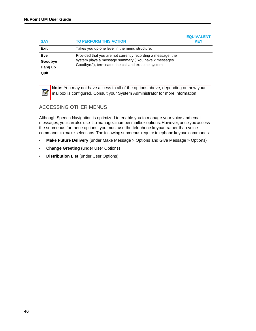P,

| <b>SAY</b>                               | <b>TO PERFORM THIS ACTION</b>                                                                                                                                                  | <b>EQUIVALENT</b><br><b>KEY</b> |
|------------------------------------------|--------------------------------------------------------------------------------------------------------------------------------------------------------------------------------|---------------------------------|
| Exit                                     | Takes you up one level in the menu structure.                                                                                                                                  |                                 |
| <b>Bye</b><br>Goodbye<br>Hang up<br>Quit | Provided that you are not currently recording a message, the<br>system plays a message summary ("You have x messages.<br>Goodbye."), terminates the call and exits the system. |                                 |

**Note:** You may not have access to all of the options above, depending on how your mailbox is configured. Consult your System Administrator for more information.

### <span id="page-51-0"></span>ACCESSING OTHER MENUS

Although Speech Navigation is optimized to enable you to manage your voice and email messages, you can also use it to manage a number mailbox options. However, once you access the submenus for these options, you must use the telephone keypad rather than voice commands to make selections. The following submenus require telephone keypad commands:

- **Make Future Delivery** (under Make Message > Options and Give Message > Options)
- **Change Greeting** (under User Options)
- **Distribution List** (under User Options)